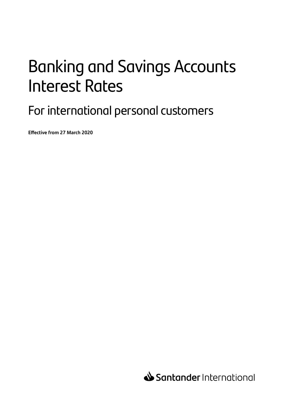# Banking and Savings Accounts Interest Rates

For international personal customers

**Effective from 27 March 2020**

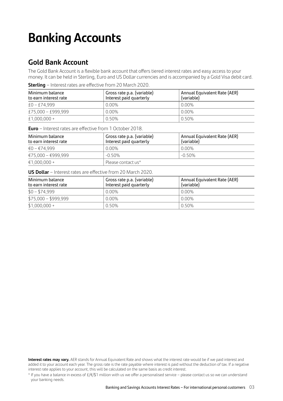## **Banking Accounts**

## **Gold Bank Account**

The Gold Bank Account is a flexible bank account that offers tiered interest rates and easy access to your money. It can be held in Sterling, Euro and US Dollar currencies and is accompanied by a Gold Visa debit card.

| Minimum balance<br>to earn interest rate | Gross rate p.a. (variable)<br>Interest paid quarterly | Annual Equivalent Rate (AER)<br>(variable) |
|------------------------------------------|-------------------------------------------------------|--------------------------------------------|
| $£0 - £74.999$                           | 0.00%                                                 | 0.00%                                      |
| £75,000 - £999,999                       | 0.00%                                                 | 0.00%                                      |
| $£1,000,000+$                            | 0.50%                                                 | 0.50%                                      |

**Sterling** – Interest rates are effective from 20 March 2020.

**Euro** – Interest rates are effective from 1 October 2018.

| Minimum balance<br>to earn interest rate | Gross rate p.a. (variable)<br>Interest paid quarterly | Annual Equivalent Rate (AER)<br>(variable) |
|------------------------------------------|-------------------------------------------------------|--------------------------------------------|
| €0 – €74.999                             | $0.00\%$                                              | $0.00\%$                                   |
| €75,000 - €999,999                       | $-0.50\%$                                             | $-0.50\%$                                  |
| $€1.000.000 +$                           | Please contact us*                                    |                                            |

**US Dollar** – Interest rates are effective from 20 March 2020.

| Minimum balance<br>to earn interest rate | Gross rate p.a. (variable)<br>Interest paid quarterly | Annual Equivalent Rate (AER)<br>(variable) |
|------------------------------------------|-------------------------------------------------------|--------------------------------------------|
| $$0 - $74,999$                           | 0.00%                                                 | 0.00%                                      |
| $$75,000 - $999,999$                     | 0.00%                                                 | 0.00%                                      |
| $$1,000,000 +$                           | 0.50%                                                 | 0.50%                                      |

**Interest rates may vary.** AER stands for Annual Equivalent Rate and shows what the interest rate would be if we paid interest and added it to your account each year. The gross rate is the rate payable where interest is paid without the deduction of tax. If a negative interest rate applies to your account, this will be calculated on the same basis as credit interest.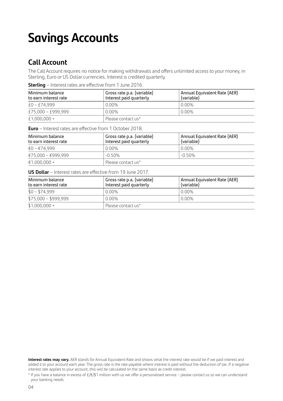## **Savings Accounts**

### **Call Account**

The Call Account requires no notice for making withdrawals and offers unlimited access to your money, in Sterling, Euro or US Dollar currencies. Interest is credited quarterly.

**Sterling** – Interest rates are effective from 1 June 2016.

| Minimum balance<br>to earn interest rate | Gross rate p.a. (variable)<br>Interest paid quarterly | Annual Equivalent Rate (AER)<br>(variable) |
|------------------------------------------|-------------------------------------------------------|--------------------------------------------|
| $£0 - £74.999$                           | $0.00\%$                                              | 0.00%                                      |
| £75,000 - £999,999                       | $0.00\%$                                              | 0.00%                                      |
| $£1,000,000+$                            | Please contact us*                                    |                                            |

**Euro** – Interest rates are effective from 1 October 2018.

| Minimum balance<br>to earn interest rate | Gross rate p.a. (variable)<br>Interest paid quarterly | Annual Equivalent Rate (AER)<br>(variable) |
|------------------------------------------|-------------------------------------------------------|--------------------------------------------|
| €0 – €74.999                             | $0.00\%$                                              | 0.00%                                      |
| €75,000 - €999,999                       | $-0.50\%$                                             | $-0.50\%$                                  |
| $€1.000.000 +$                           | Please contact us*                                    |                                            |

**US Dollar** – Interest rates are effective from 19 June 2017.

| Minimum balance<br>to earn interest rate | ' Gross rate p.a. (variable)<br>Interest paid quarterly | Annual Equivalent Rate (AER)<br>(variable) |
|------------------------------------------|---------------------------------------------------------|--------------------------------------------|
| $$0 - $74,999$                           | $0.00\%$                                                | 0.00%                                      |
| $$75,000 - $999,999$                     | $0.00\%$                                                | 0.00%                                      |
| $$1,000,000 +$                           | Please contact us*                                      |                                            |

**Interest rates may vary.** AER stands for Annual Equivalent Rate and shows what the interest rate would be if we paid interest and added it to your account each year. The gross rate is the rate payable where interest is paid without the deduction of tax. If a negative interest rate applies to your account, this will be calculated on the same basis as credit interest.

<sup>\*</sup> If you have a balance in excess of £/€/\$1 million with us we offer a personalised service – please contact us so we can understand your banking needs.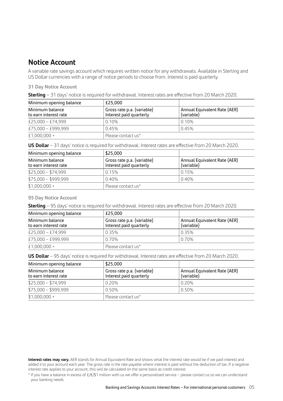### **Notice Account**

A variable rate savings account which requires written notice for any withdrawals. Available in Sterling and US Dollar currencies with a range of notice periods to choose from. Interest is paid quarterly.

#### **31 Day Notice Account**

| Minimum opening balance                  | £25.000                                               |                                            |
|------------------------------------------|-------------------------------------------------------|--------------------------------------------|
| Minimum balance<br>to earn interest rate | Gross rate p.a. (variable)<br>Interest paid quarterly | Annual Equivalent Rate (AER)<br>(variable) |
| £25,000 - £74,999                        | 0.10%                                                 | 0.10%                                      |
| £75,000 - £999,999                       | 0.45%                                                 | 0.45%                                      |
| $£1,000,000+$                            | Please contact us*                                    |                                            |

**US Dollar** – 31 days' notice is required for withdrawal. Interest rates are effective from 20 March 2020.

| Minimum opening balance                  | \$25,000                                              |                                            |
|------------------------------------------|-------------------------------------------------------|--------------------------------------------|
| Minimum balance<br>to earn interest rate | Gross rate p.a. (variable)<br>Interest paid quarterly | Annual Equivalent Rate (AER)<br>(variable) |
| $$25,000 - $74,999$                      | 0.15%                                                 | 0.15%                                      |
| $$75,000 - $999,999$                     | 0.40%                                                 | 0.40%                                      |
| $$1,000,000 +$                           | Please contact us*                                    |                                            |

#### **95 Day Notice Account**

**Sterling** – 95 days' notice is required for withdrawal. Interest rates are effective from 20 March 2020.

| Minimum opening balance                  | £25.000                                               |                                            |
|------------------------------------------|-------------------------------------------------------|--------------------------------------------|
| Minimum balance<br>to earn interest rate | Gross rate p.a. (variable)<br>Interest paid quarterly | Annual Equivalent Rate (AER)<br>(variable) |
| £25,000 - £74,999                        | 0.35%                                                 | 0.35%                                      |
| £75,000 - £999,999                       | 0.70%                                                 | 0.70%                                      |
| £1,000,000 +                             | Please contact us*                                    |                                            |

**US Dollar** – 95 days' notice is required for withdrawal. Interest rates are effective from 20 March 2020.

| Minimum opening balance                  | \$25,000                                              |                                            |
|------------------------------------------|-------------------------------------------------------|--------------------------------------------|
| Minimum balance<br>to earn interest rate | Gross rate p.a. (variable)<br>Interest paid quarterly | Annual Equivalent Rate (AER)<br>(variable) |
| $$25,000 - $74,999$                      | 0.20%                                                 | 0.20%                                      |
| $$75,000 - $999,999$                     | 0.50%                                                 | 0.50%                                      |
| $$1,000,000 +$                           | Please contact us*                                    |                                            |

**Interest rates may vary.** AER stands for Annual Equivalent Rate and shows what the interest rate would be if we paid interest and added it to your account each year. The gross rate is the rate payable where interest is paid without the deduction of tax. If a negative interest rate applies to your account, this will be calculated on the same basis as credit interest.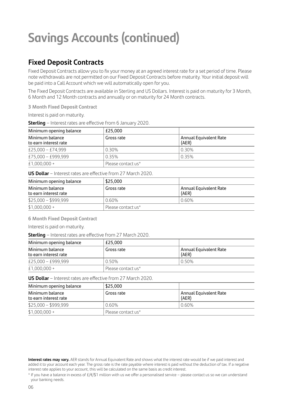## **Savings Accounts (continued)**

## **Fixed Deposit Contracts**

Fixed Deposit Contracts allow you to fix your money at an agreed interest rate for a set period of time. Please note withdrawals are not permitted on our Fixed Deposit Contracts before maturity. Your initial deposit will be paid into a Call Account which we will automatically open for you.

The Fixed Deposit Contracts are available in Sterling and US Dollars. Interest is paid on maturity for 3 Month, 6 Month and 12 Month contracts and annually or on maturity for 24 Month contracts.

**3 Month Fixed Deposit Contract** 

Interest is paid on maturity.

**Sterling** – Interest rates are effective from 6 January 2020.

| Minimum opening balance                  | £25.000            |                                 |
|------------------------------------------|--------------------|---------------------------------|
| Minimum balance<br>to earn interest rate | Gross rate         | Annual Equivalent Rate<br>(AER) |
| £25,000 - £74,999                        | 0.30%              | 0.30%                           |
| £75,000 - £999,999                       | 0.35%              | 0.35%                           |
| £1,000,000 +                             | Please contact us* |                                 |

**US Dollar** – Interest rates are effective from 27 March 2020.

| Minimum opening balance                  | \$25,000           |                                 |
|------------------------------------------|--------------------|---------------------------------|
| Minimum balance<br>to earn interest rate | Gross rate         | Annual Equivalent Rate<br>(AER) |
| $$25,000 - $999,999$                     | 0.60%              | 0.60%                           |
| $$1,000,000 +$                           | Please contact us* |                                 |

**6 Month Fixed Deposit Contract** 

Interest is paid on maturity.

**Sterling** – Interest rates are effective from 27 March 2020.

| Minimum opening balance                  | £25.000            |                                 |
|------------------------------------------|--------------------|---------------------------------|
| Minimum balance<br>to earn interest rate | Gross rate         | Annual Equivalent Rate<br>(AER) |
| £25,000 - £999,999                       | 0.50%              | 0.50%                           |
| $£1.000.000 +$                           | Please contact us* |                                 |

**US Dollar** – Interest rates are effective from 27 March 2020.

| Minimum opening balance                  | \$25,000           |                                 |
|------------------------------------------|--------------------|---------------------------------|
| Minimum balance<br>to earn interest rate | Gross rate         | Annual Equivalent Rate<br>(AER) |
| $$25,000 - $999,999$                     | $0.60\%$           | 0.60%                           |
| $$1,000,000 +$                           | Please contact us* |                                 |

**Interest rates may vary.** AER stands for Annual Equivalent Rate and shows what the interest rate would be if we paid interest and added it to your account each year. The gross rate is the rate payable where interest is paid without the deduction of tax. If a negative interest rate applies to your account, this will be calculated on the same basis as credit interest.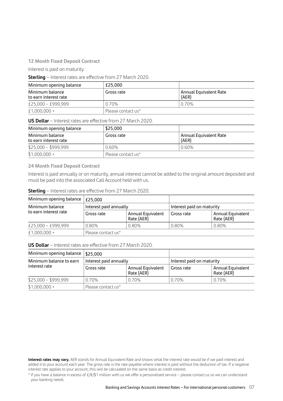#### **12 Month Fixed Deposit Contract**

Interest is paid on maturity.

**Sterling** – Interest rates are effective from 27 March 2020.

| Minimum opening balance                  | £25.000            |                                 |
|------------------------------------------|--------------------|---------------------------------|
| Minimum balance<br>to earn interest rate | Gross rate         | Annual Equivalent Rate<br>(AER) |
| £25,000 - £999,999                       | 0.70%              | 0.70%                           |
| $£1,000,000+$                            | Please contact us* |                                 |

**US Dollar** – Interest rates are effective from 27 March 2020.

| Minimum opening balance                  | \$25,000           |                                 |
|------------------------------------------|--------------------|---------------------------------|
| Minimum balance<br>to earn interest rate | Gross rate         | Annual Equivalent Rate<br>(AER) |
| $$25,000 - $999,999$                     | 0.60%              | 0.60%                           |
| $$1,000,000 +$                           | Please contact us* |                                 |

#### **24 Month Fixed Deposit Contract**

Interest is paid annually or on maturity, annual interest cannot be added to the original amount deposited and must be paid into the associated Call Account held with us.

| <b>Sterling</b> - Interest rates are effective from 27 March 2020. |  |  |
|--------------------------------------------------------------------|--|--|
|--------------------------------------------------------------------|--|--|

| Minimum opening balance                  | £25.000                |                                 |                           |                                        |
|------------------------------------------|------------------------|---------------------------------|---------------------------|----------------------------------------|
| Minimum balance<br>to earn interest rate | Interest paid annually |                                 | Interest paid on maturity |                                        |
|                                          | Gross rate             | Annual Equivalent<br>Rate (AER) | Gross rate                | <b>Annual Equivalent</b><br>Rate (AER) |
| £25,000 - £999,999                       | 0.80%                  | 0.80%                           | 0.80%                     | 0.80%                                  |
| £1,000,000 +                             | Please contact us*     |                                 |                           |                                        |

**US Dollar** – Interest rates are effective from 27 March 2020.

| Minimum opening balance                  | \$25.000               |                                 |                           |                                        |
|------------------------------------------|------------------------|---------------------------------|---------------------------|----------------------------------------|
| Minimum balance to earn<br>interest rate | Interest paid annually |                                 | Interest paid on maturity |                                        |
|                                          | Gross rate             | Annual Equivalent<br>Rate (AER) | Gross rate                | <b>Annual Equivalent</b><br>Rate (AER) |
| $$25,000 - $999,999$                     | 0.70%                  | 0.70%                           | 0.70%                     | 0.70%                                  |
| $$1,000,000 +$                           | Please contact us*     |                                 |                           |                                        |

**Interest rates may vary.** AER stands for Annual Equivalent Rate and shows what the interest rate would be if we paid interest and added it to your account each year. The gross rate is the rate payable where interest is paid without the deduction of tax. If a negative interest rate applies to your account, this will be calculated on the same basis as credit interest.